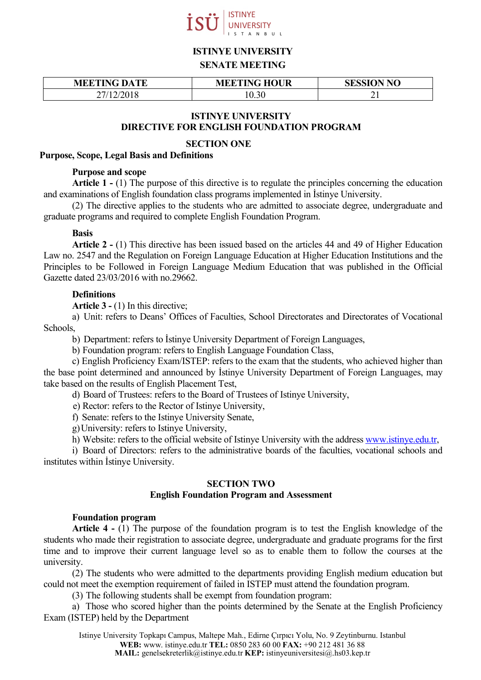

# **ISTINYE UNIVERSITY**

#### **SENATE MEETING**

| <b>MEETING DATE</b> | <b>MEETING HOUR</b> | <b>SESSION NO</b> |
|---------------------|---------------------|-------------------|
|                     | 0.30                | ∸                 |

# **ISTINYE UNIVERSITY**

# **DIRECTIVE FOR ENGLISH FOUNDATION PROGRAM**

## **SECTION ONE**

## **Purpose, Scope, Legal Basis and Definitions**

## **Purpose and scope**

**Article 1 -** (1) The purpose of this directive is to regulate the principles concerning the education and examinations of English foundation class programs implemented in İstinye University.

(2) The directive applies to the students who are admitted to associate degree, undergraduate and graduate programs and required to complete English Foundation Program.

#### **Basis**

**Article 2 -** (1) This directive has been issued based on the articles 44 and 49 of Higher Education Law no. 2547 and the Regulation on Foreign Language Education at Higher Education Institutions and the Principles to be Followed in Foreign Language Medium Education that was published in the Official Gazette dated 23/03/2016 with no.29662.

## **Definitions**

**Article 3 -** (1) In this directive;

a) Unit: refers to Deans' Offices of Faculties, School Directorates and Directorates of Vocational Schools,

b) Department: refers to İstinye University Department of Foreign Languages,

b) Foundation program: refers to English Language Foundation Class,

c) English Proficiency Exam/ISTEP: refers to the exam that the students, who achieved higher than the base point determined and announced by İstinye University Department of Foreign Languages, may take based on the results of English Placement Test,

d) Board of Trustees: refers to the Board of Trustees of Istinye University,

e) Rector: refers to the Rector of Istinye University,

f) Senate: refers to the Istinye University Senate,

g)University: refers to Istinye University,

h) Website: refers to the official website of Istinye University with the address [www.istinye.edu.tr,](http://www.istinye.edu.tr/)

i) Board of Directors: refers to the administrative boards of the faculties, vocational schools and institutes within İstinye University.

## **SECTION TWO**

## **English Foundation Program and Assessment**

#### **Foundation program**

**Article 4 -** (1) The purpose of the foundation program is to test the English knowledge of the students who made their registration to associate degree, undergraduate and graduate programs for the first time and to improve their current language level so as to enable them to follow the courses at the university.

(2) The students who were admitted to the departments providing English medium education but could not meet the exemption requirement of failed in ISTEP must attend the foundation program.

(3) The following students shall be exempt from foundation program:

a) Those who scored higher than the points determined by the Senate at the English Proficiency Exam (ISTEP) held by the Department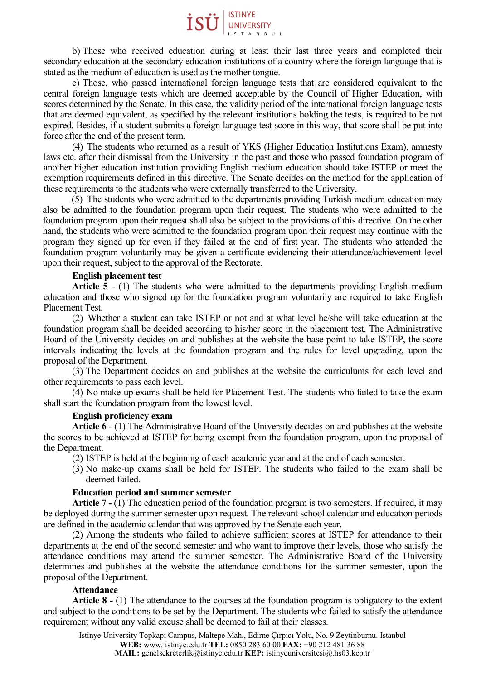

b) Those who received education during at least their last three years and completed their secondary education at the secondary education institutions of a country where the foreign language that is stated as the medium of education is used as the mother tongue.

c) Those, who passed international foreign language tests that are considered equivalent to the central foreign language tests which are deemed acceptable by the Council of Higher Education, with scores determined by the Senate. In this case, the validity period of the international foreign language tests that are deemed equivalent, as specified by the relevant institutions holding the tests, is required to be not expired. Besides, if a student submits a foreign language test score in this way, that score shall be put into force after the end of the present term.

(4) The students who returned as a result of YKS (Higher Education Institutions Exam), amnesty laws etc. after their dismissal from the University in the past and those who passed foundation program of another higher education institution providing English medium education should take ISTEP or meet the exemption requirements defined in this directive. The Senate decides on the method for the application of these requirements to the students who were externally transferred to the University.

(5) The students who were admitted to the departments providing Turkish medium education may also be admitted to the foundation program upon their request. The students who were admitted to the foundation program upon their request shall also be subject to the provisions of this directive. On the other hand, the students who were admitted to the foundation program upon their request may continue with the program they signed up for even if they failed at the end of first year. The students who attended the foundation program voluntarily may be given a certificate evidencing their attendance/achievement level upon their request, subject to the approval of the Rectorate.

#### **English placement test**

**Article 5 -** (1) The students who were admitted to the departments providing English medium education and those who signed up for the foundation program voluntarily are required to take English Placement Test.

(2) Whether a student can take ISTEP or not and at what level he/she will take education at the foundation program shall be decided according to his/her score in the placement test. The Administrative Board of the University decides on and publishes at the website the base point to take ISTEP, the score intervals indicating the levels at the foundation program and the rules for level upgrading, upon the proposal of the Department.

(3) The Department decides on and publishes at the website the curriculums for each level and other requirements to pass each level.

(4) No make-up exams shall be held for Placement Test. The students who failed to take the exam shall start the foundation program from the lowest level.

#### **English proficiency exam**

**Article 6 -** (1) The Administrative Board of the University decides on and publishes at the website the scores to be achieved at ISTEP for being exempt from the foundation program, upon the proposal of the Department.

(2) ISTEP is held at the beginning of each academic year and at the end of each semester.

(3) No make-up exams shall be held for ISTEP. The students who failed to the exam shall be deemed failed.

## **Education period and summer semester**

**Article 7 -** (1) The education period of the foundation program is two semesters. If required, it may be deployed during the summer semester upon request. The relevant school calendar and education periods are defined in the academic calendar that was approved by the Senate each year.

(2) Among the students who failed to achieve sufficient scores at ISTEP for attendance to their departments at the end of the second semester and who want to improve their levels, those who satisfy the attendance conditions may attend the summer semester. The Administrative Board of the University determines and publishes at the website the attendance conditions for the summer semester, upon the proposal of the Department.

#### **Attendance**

**Article 8 -** (1) The attendance to the courses at the foundation program is obligatory to the extent and subject to the conditions to be set by the Department. The students who failed to satisfy the attendance requirement without any valid excuse shall be deemed to fail at their classes.